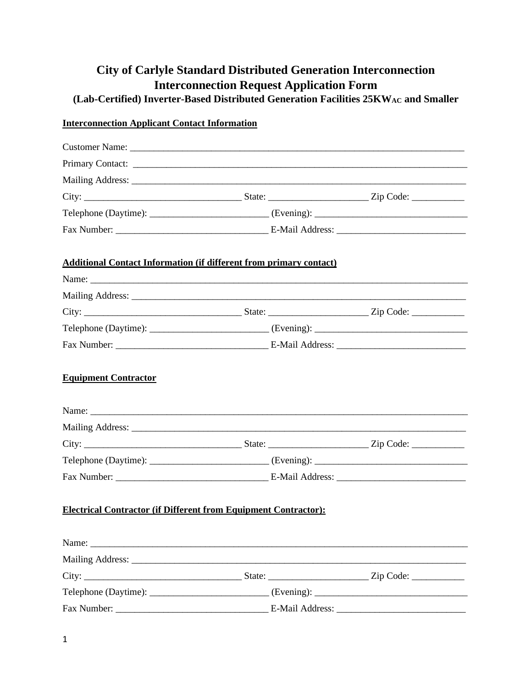# **City of Carlyle Standard Distributed Generation Interconnection Interconnection Request Application Form**

**(Lab-Certified) Inverter-Based Distributed Generation Facilities 25KWAC and Smaller**

## **Interconnection Applicant Contact Information**

| <b>Additional Contact Information (if different from primary contact)</b> |  |  |
|---------------------------------------------------------------------------|--|--|
|                                                                           |  |  |
|                                                                           |  |  |
|                                                                           |  |  |
|                                                                           |  |  |
|                                                                           |  |  |
|                                                                           |  |  |
|                                                                           |  |  |
|                                                                           |  |  |
|                                                                           |  |  |
| <b>Electrical Contractor (if Different from Equipment Contractor):</b>    |  |  |
|                                                                           |  |  |
|                                                                           |  |  |
|                                                                           |  |  |
|                                                                           |  |  |
|                                                                           |  |  |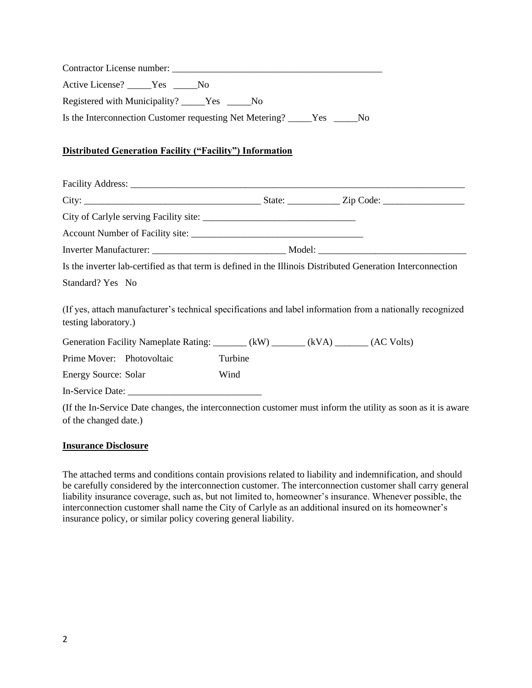| Active License? _____Yes _____No                                                                                                   |         |  |
|------------------------------------------------------------------------------------------------------------------------------------|---------|--|
| Registered with Municipality? _____Yes _____No                                                                                     |         |  |
| Is the Interconnection Customer requesting Net Metering? _____Yes _____No                                                          |         |  |
| <b>Distributed Generation Facility ("Facility") Information</b>                                                                    |         |  |
|                                                                                                                                    |         |  |
|                                                                                                                                    |         |  |
|                                                                                                                                    |         |  |
|                                                                                                                                    |         |  |
|                                                                                                                                    |         |  |
| Is the inverter lab-certified as that term is defined in the Illinois Distributed Generation Interconnection                       |         |  |
| Standard? Yes No                                                                                                                   |         |  |
| (If yes, attach manufacturer's technical specifications and label information from a nationally recognized<br>testing laboratory.) |         |  |
| Generation Facility Nameplate Rating: ______ (kW) ______ (kVA) ______ (AC Volts)                                                   |         |  |
| Prime Mover: Photovoltaic                                                                                                          | Turbine |  |
| <b>Energy Source: Solar</b>                                                                                                        | Wind    |  |
|                                                                                                                                    |         |  |

(If the In-Service Date changes, the interconnection customer must inform the utility as soon as it is aware of the changed date.)

#### **Insurance Disclosure**

The attached terms and conditions contain provisions related to liability and indemnification, and should be carefully considered by the interconnection customer. The interconnection customer shall carry general liability insurance coverage, such as, but not limited to, homeowner's insurance. Whenever possible, the interconnection customer shall name the City of Carlyle as an additional insured on its homeowner's insurance policy, or similar policy covering general liability.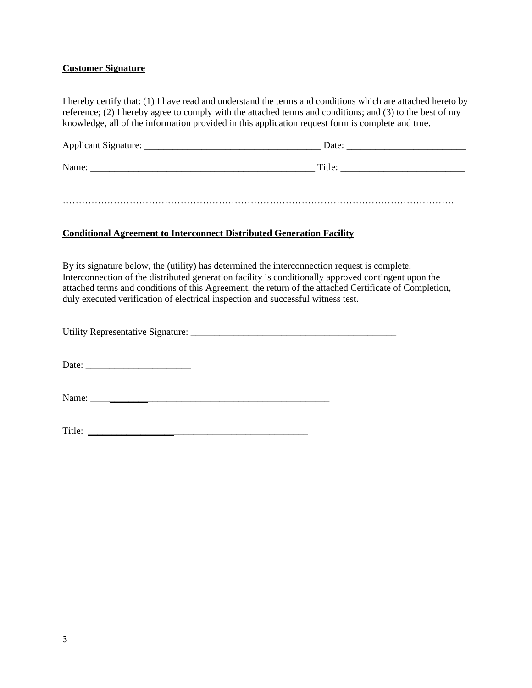### **Customer Signature**

I hereby certify that: (1) I have read and understand the terms and conditions which are attached hereto by reference; (2) I hereby agree to comply with the attached terms and conditions; and (3) to the best of my knowledge, all of the information provided in this application request form is complete and true.

| Applicant Signature: | Date:  |
|----------------------|--------|
| Name:                | Title: |

……………………………………………………………………………………………………………

### **Conditional Agreement to Interconnect Distributed Generation Facility**

By its signature below, the (utility) has determined the interconnection request is complete. Interconnection of the distributed generation facility is conditionally approved contingent upon the attached terms and conditions of this Agreement, the return of the attached Certificate of Completion, duly executed verification of electrical inspection and successful witness test.

Utility Representative Signature: \_\_\_\_\_\_\_\_\_\_\_\_\_\_\_\_\_\_\_\_\_\_\_\_\_\_\_\_\_\_\_\_\_\_\_\_\_\_\_\_\_\_\_

Date: \_\_\_\_\_\_\_\_\_\_\_\_\_\_\_\_\_\_\_\_\_\_

Name: \_\_\_\_\_\_\_\_\_\_\_\_\_\_\_\_\_\_\_\_\_\_\_\_\_\_\_\_\_\_\_\_\_\_\_\_\_\_\_\_\_\_\_\_\_\_\_\_\_\_

Title: \_\_\_\_\_\_\_\_\_\_\_\_\_\_\_\_\_\_\_\_\_\_\_\_\_\_\_\_\_\_\_\_\_\_\_\_\_\_\_\_\_\_\_\_\_\_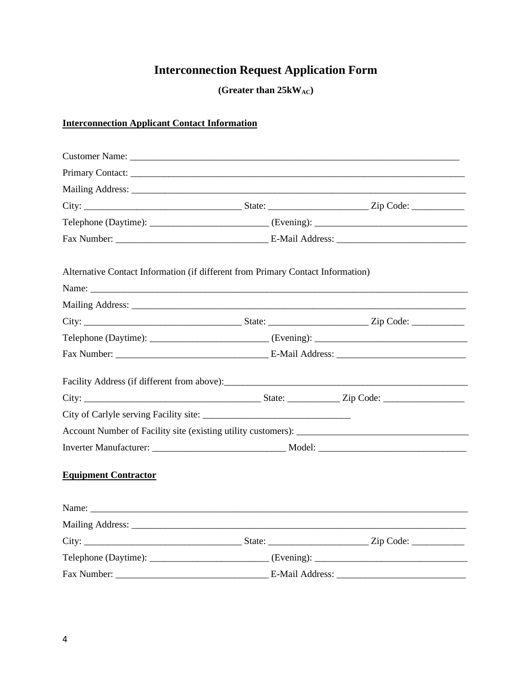## **Interconnection Request Application Form**

**(Greater than 25kWAC)**

## **Interconnection Applicant Contact Information**

| Mailing Address: National Address: National Address: National Address: National Address: National Address: National Address: National Address: National Address: National Address: National Address: National Address: Nationa |  |  |  |
|--------------------------------------------------------------------------------------------------------------------------------------------------------------------------------------------------------------------------------|--|--|--|
|                                                                                                                                                                                                                                |  |  |  |
| Telephone (Daytime): _________________________________(Evening): ___________________________________                                                                                                                           |  |  |  |
|                                                                                                                                                                                                                                |  |  |  |
| Alternative Contact Information (if different from Primary Contact Information)                                                                                                                                                |  |  |  |
|                                                                                                                                                                                                                                |  |  |  |
|                                                                                                                                                                                                                                |  |  |  |
|                                                                                                                                                                                                                                |  |  |  |
|                                                                                                                                                                                                                                |  |  |  |
|                                                                                                                                                                                                                                |  |  |  |
|                                                                                                                                                                                                                                |  |  |  |
|                                                                                                                                                                                                                                |  |  |  |
| City of Carlyle serving Facility site:                                                                                                                                                                                         |  |  |  |
|                                                                                                                                                                                                                                |  |  |  |
|                                                                                                                                                                                                                                |  |  |  |
| <b>Equipment Contractor</b>                                                                                                                                                                                                    |  |  |  |
|                                                                                                                                                                                                                                |  |  |  |
|                                                                                                                                                                                                                                |  |  |  |
|                                                                                                                                                                                                                                |  |  |  |
|                                                                                                                                                                                                                                |  |  |  |
|                                                                                                                                                                                                                                |  |  |  |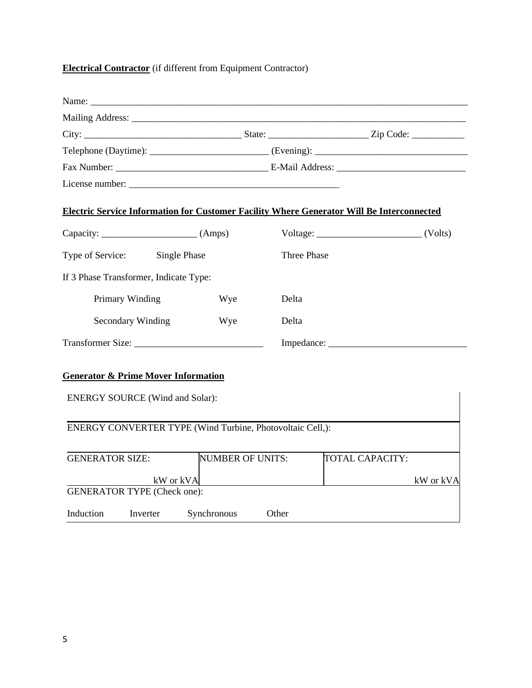## **Electrical Contractor** (if different from Equipment Contractor)

| <b>Electric Service Information for Customer Facility Where Generator Will Be Interconnected</b> |                                                           |                    |                             |
|--------------------------------------------------------------------------------------------------|-----------------------------------------------------------|--------------------|-----------------------------|
|                                                                                                  |                                                           |                    | $Voltage: ________ (Volts)$ |
| Type of Service: Single Phase                                                                    |                                                           | <b>Three Phase</b> |                             |
| If 3 Phase Transformer, Indicate Type:                                                           |                                                           |                    |                             |
| Primary Winding                                                                                  | Wye                                                       | Delta              |                             |
| Secondary Winding                                                                                | Wye                                                       | Delta              |                             |
| Transformer Size:                                                                                |                                                           |                    | Impedance:                  |
| <b>Generator &amp; Prime Mover Information</b><br><b>ENERGY SOURCE (Wind and Solar):</b>         |                                                           |                    |                             |
|                                                                                                  | ENERGY CONVERTER TYPE (Wind Turbine, Photovoltaic Cell,): |                    |                             |
| <b>GENERATOR SIZE:</b>                                                                           | <b>NUMBER OF UNITS:</b>                                   |                    | <b>TOTAL CAPACITY:</b>      |
|                                                                                                  | kW or kVA                                                 |                    | kW or kVA                   |
| <b>GENERATOR TYPE (Check one):</b>                                                               |                                                           |                    |                             |
| Induction<br>Inverter                                                                            | Synchronous                                               | Other              |                             |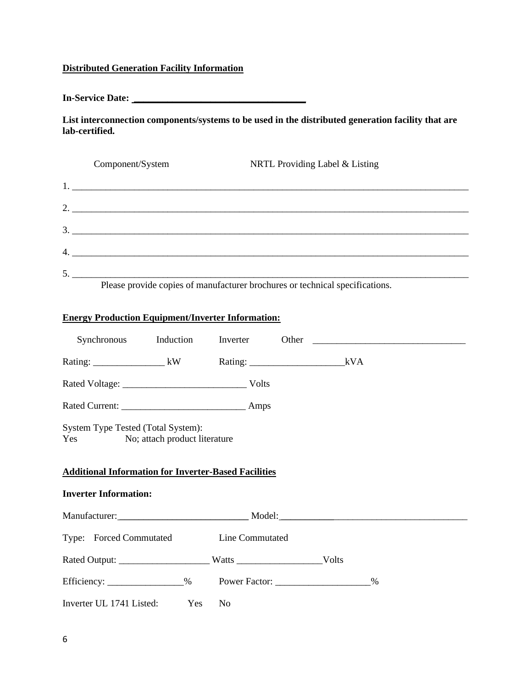## **Distributed Generation Facility Information**

**In-Service Date: \_\_\_\_\_\_\_\_\_\_\_\_\_\_\_\_\_\_\_\_\_\_\_\_\_\_\_\_\_\_\_\_\_\_\_\_**

**List interconnection components/systems to be used in the distributed generation facility that are lab-certified.**

| Component/System            | NRTL Providing Label & Listing                                               |
|-----------------------------|------------------------------------------------------------------------------|
|                             |                                                                              |
| 2. $\overline{\phantom{a}}$ |                                                                              |
|                             |                                                                              |
|                             |                                                                              |
|                             |                                                                              |
|                             | Please provide copies of manufacturer brochures or technical specifications. |

## **Energy Production Equipment/Inverter Information:**

|                                                                                                                                        |                |      | Synchronous Induction Inverter Other Communication Induction Inverter Other Communication Induction |
|----------------------------------------------------------------------------------------------------------------------------------------|----------------|------|-----------------------------------------------------------------------------------------------------|
|                                                                                                                                        |                |      |                                                                                                     |
|                                                                                                                                        |                |      |                                                                                                     |
|                                                                                                                                        |                |      |                                                                                                     |
| System Type Tested (Total System):<br>Yes No; attach product literature<br><b>Additional Information for Inverter-Based Facilities</b> |                |      |                                                                                                     |
| <b>Inverter Information:</b>                                                                                                           |                |      |                                                                                                     |
|                                                                                                                                        |                |      |                                                                                                     |
| Type: Forced Commutated Line Commutated                                                                                                |                |      |                                                                                                     |
|                                                                                                                                        |                |      |                                                                                                     |
|                                                                                                                                        |                | $\%$ |                                                                                                     |
| Inverter UL 1741 Listed: Yes                                                                                                           | N <sub>o</sub> |      |                                                                                                     |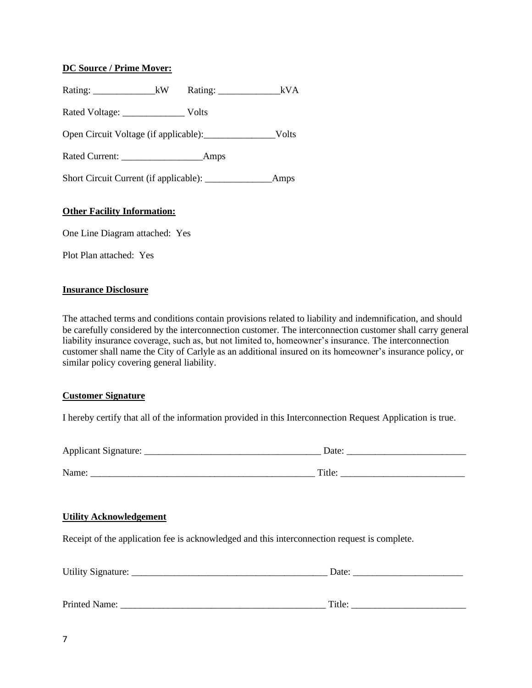### **DC Source / Prime Mover:**

| Rating: $\frac{1}{\sqrt{1-\frac{1}{2}} \cdot \frac{1}{\sqrt{1-\frac{1}{2}} \cdot \frac{1}{\sqrt{1-\frac{1}{2}} \cdot \frac{1}{\sqrt{1-\frac{1}{2}} \cdot \frac{1}{\sqrt{1-\frac{1}{2}} \cdot \frac{1}{\sqrt{1-\frac{1}{2}} \cdot \frac{1}{\sqrt{1-\frac{1}{2}} \cdot \frac{1}{\sqrt{1-\frac{1}{2}} \cdot \frac{1}{\sqrt{1-\frac{1}{2}} \cdot \frac{1}{\sqrt{1-\frac{1}{2}} \cdot \frac{1}{\sqrt{1-\frac{1}{2}} \cdot \frac{1}{\sqrt{1-\frac{1}{$ | kVA  |
|--------------------------------------------------------------------------------------------------------------------------------------------------------------------------------------------------------------------------------------------------------------------------------------------------------------------------------------------------------------------------------------------------------------------------------------------------|------|
|                                                                                                                                                                                                                                                                                                                                                                                                                                                  |      |
|                                                                                                                                                                                                                                                                                                                                                                                                                                                  |      |
|                                                                                                                                                                                                                                                                                                                                                                                                                                                  |      |
|                                                                                                                                                                                                                                                                                                                                                                                                                                                  | Amps |

#### **Other Facility Information:**

One Line Diagram attached: Yes

Plot Plan attached: Yes

#### **Insurance Disclosure**

The attached terms and conditions contain provisions related to liability and indemnification, and should be carefully considered by the interconnection customer. The interconnection customer shall carry general liability insurance coverage, such as, but not limited to, homeowner's insurance. The interconnection customer shall name the City of Carlyle as an additional insured on its homeowner's insurance policy, or similar policy covering general liability.

#### **Customer Signature**

I hereby certify that all of the information provided in this Interconnection Request Application is true.

| <b>Applicant Signature:</b> | Date:  |
|-----------------------------|--------|
|                             |        |
| Name:                       | Title. |

#### **Utility Acknowledgement**

Receipt of the application fee is acknowledged and this interconnection request is complete.

| <b>Utility Signature:</b> |  | $\Delta$ de $\cdot$ |  |  |
|---------------------------|--|---------------------|--|--|
|                           |  |                     |  |  |
|                           |  |                     |  |  |

Printed Name: \_\_\_\_\_\_\_\_\_\_\_\_\_\_\_\_\_\_\_\_\_\_\_\_\_\_\_\_\_\_\_\_\_\_\_\_\_\_\_\_\_\_\_ Title: \_\_\_\_\_\_\_\_\_\_\_\_\_\_\_\_\_\_\_\_\_\_\_\_